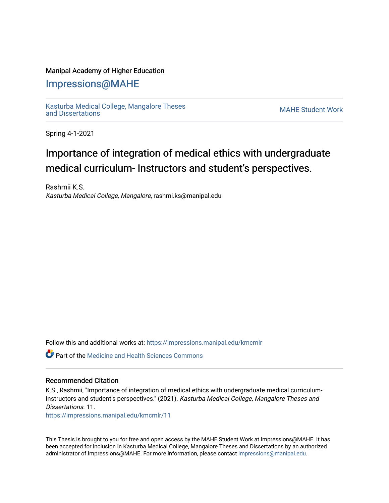### Manipal Academy of Higher Education

## [Impressions@MAHE](https://impressions.manipal.edu/)

[Kasturba Medical College, Mangalore Theses](https://impressions.manipal.edu/kmcmlr) Kasturba Medical College, Mangalore Theses<br>and Dissertations

Spring 4-1-2021

# Importance of integration of medical ethics with undergraduate medical curriculum- Instructors and student's perspectives.

Rashmii K.S. Kasturba Medical College, Mangalore, rashmi.ks@manipal.edu

Follow this and additional works at: [https://impressions.manipal.edu/kmcmlr](https://impressions.manipal.edu/kmcmlr?utm_source=impressions.manipal.edu%2Fkmcmlr%2F11&utm_medium=PDF&utm_campaign=PDFCoverPages) 

Part of the [Medicine and Health Sciences Commons](http://network.bepress.com/hgg/discipline/648?utm_source=impressions.manipal.edu%2Fkmcmlr%2F11&utm_medium=PDF&utm_campaign=PDFCoverPages) 

### Recommended Citation

K.S., Rashmii, "Importance of integration of medical ethics with undergraduate medical curriculum-Instructors and student's perspectives." (2021). Kasturba Medical College, Mangalore Theses and Dissertations. 11.

[https://impressions.manipal.edu/kmcmlr/11](https://impressions.manipal.edu/kmcmlr/11?utm_source=impressions.manipal.edu%2Fkmcmlr%2F11&utm_medium=PDF&utm_campaign=PDFCoverPages)

This Thesis is brought to you for free and open access by the MAHE Student Work at Impressions@MAHE. It has been accepted for inclusion in Kasturba Medical College, Mangalore Theses and Dissertations by an authorized administrator of Impressions@MAHE. For more information, please contact [impressions@manipal.edu.](mailto:impressions@manipal.edu)